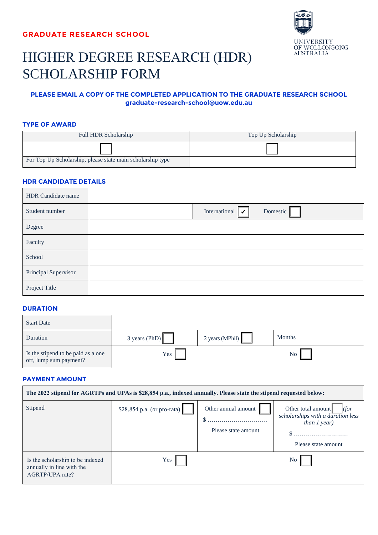

# HIGHER DEGREE RESEARCH (HDR) SCHOLARSHIP FORM

### **PLEASE EMAIL A COPY OF THE COMPLETED APPLICATION TO THE GRADUATE RESEARCH SCHOOL graduate-research-school@uow.edu.au**

#### **TYPE OF AWARD**

| <b>Full HDR Scholarship</b>                                | Top Up Scholarship |
|------------------------------------------------------------|--------------------|
|                                                            |                    |
| For Top Up Scholarship, please state main scholarship type |                    |

#### **HDR CANDIDATE DETAILS**

| HDR Candidate name   |                                    |          |
|----------------------|------------------------------------|----------|
| Student number       | International $\boxed{\checkmark}$ | Domestic |
| Degree               |                                    |          |
| Faculty              |                                    |          |
| School               |                                    |          |
| Principal Supervisor |                                    |          |
| Project Title        |                                    |          |

#### **DURATION**

| <b>Start Date</b>                                            |                         |                 |                 |
|--------------------------------------------------------------|-------------------------|-----------------|-----------------|
| Duration                                                     | $3 \text{ years}$ (PhD) | 2 years (MPhil) | <b>Months</b>   |
| Is the stipend to be paid as a one<br>off, lump sum payment? | Yes                     |                 | No <sub>1</sub> |

#### **PAYMENT AMOUNT**

| The 2022 stipend for AGRTPs and UPAs is \$28,854 p.a., indexed annually. Please state the stipend requested below: |                              |                                            |                                                                                                          |  |  |  |  |
|--------------------------------------------------------------------------------------------------------------------|------------------------------|--------------------------------------------|----------------------------------------------------------------------------------------------------------|--|--|--|--|
| Stipend                                                                                                            | $$28,854$ p.a. (or pro-rata) | Other annual amount<br>Please state amount | Other total amount<br>(for<br>scholarships with a duration less<br>than $I$ year)<br>Please state amount |  |  |  |  |
| Is the scholarship to be indexed<br>annually in line with the<br>AGRTP/UPA rate?                                   | Yes                          |                                            | No.                                                                                                      |  |  |  |  |